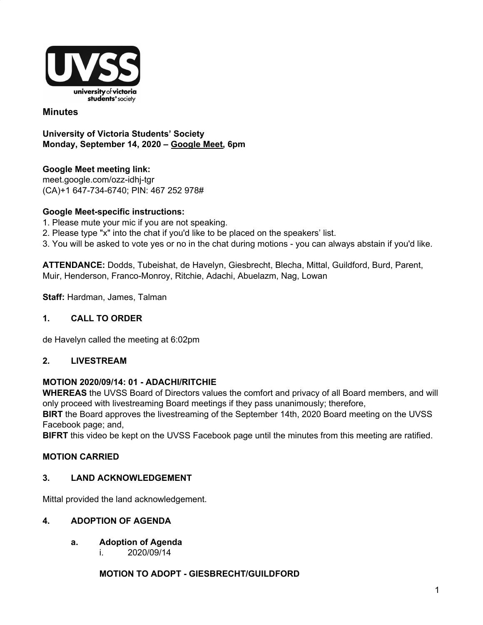

#### **Minutes**

**University of Victoria Students' Society Monday, September 14, 2020 – [Google](http://meet.google.com/ozz-idhj-tgr) Meet, 6pm**

**Google Meet meeting link[:](https://us02web.zoom.us/j/84726203931?pwd=bGNKTElKZEFIWkNvRlY2TFBqb3dQUT09)** [meet.google.com/ozz-idhj-tgr](https://meet.google.com/ozz-idhj-tgr?hs=122&authuser=2) (CA)+1 647-734-6740; PIN: 467 252 978#

#### **Google Meet-specific instructions:**

- 1. Please mute your mic if you are not speaking.
- 2. Please type "x" into the chat if you'd like to be placed on the speakers' list.

3. You will be asked to vote yes or no in the chat during motions - you can always abstain if you'd like.

**ATTENDANCE:** Dodds, Tubeishat, de Havelyn, Giesbrecht, Blecha, Mittal, Guildford, Burd, Parent, Muir, Henderson, Franco-Monroy, Ritchie, Adachi, Abuelazm, Nag, Lowan

**Staff:** Hardman, James, Talman

#### **1. CALL TO ORDER**

de Havelyn called the meeting at 6:02pm

#### **2. LIVESTREAM**

#### **MOTION 2020/09/14: 01 - ADACHI/RITCHIE**

**WHEREAS** the UVSS Board of Directors values the comfort and privacy of all Board members, and will only proceed with livestreaming Board meetings if they pass unanimously; therefore,

**BIRT** the Board approves the livestreaming of the September 14th, 2020 Board meeting on the UVSS Facebook page; and,

**BIFRT** this video be kept on the UVSS Facebook page until the minutes from this meeting are ratified.

#### **MOTION CARRIED**

#### **3. LAND ACKNOWLEDGEMENT**

Mittal provided the land acknowledgement.

#### **4. ADOPTION OF AGENDA**

- **a. Adoption of Agenda**
	- i. 2020/09/14

#### **MOTION TO ADOPT - GIESBRECHT/GUILDFORD**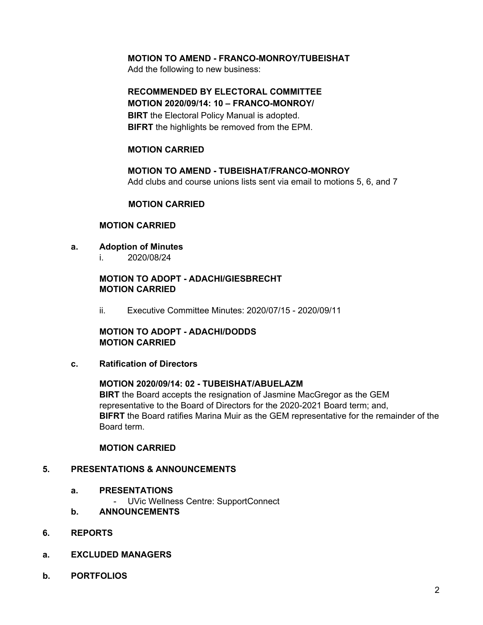#### **MOTION TO AMEND - FRANCO-MONROY/TUBEISHAT**

Add the following to new business:

# **RECOMMENDED BY ELECTORAL COMMITTEE**

**MOTION 2020/09/14: 10 – FRANCO-MONROY/ BIRT** the Electoral Policy Manual is adopted. **BIFRT** the highlights be removed from the EPM.

#### **MOTION CARRIED**

**MOTION TO AMEND - TUBEISHAT/FRANCO-MONROY** Add clubs and course unions lists sent via email to motions 5, 6, and 7

#### **MOTION CARRIED**

#### **MOTION CARRIED**

- **a. Adoption of Minutes**
	- i. 2020/08/24

#### **MOTION TO ADOPT - ADACHI/GIESBRECHT MOTION CARRIED**

ii. Executive Committee Minutes: 2020/07/15 - 2020/09/11

**MOTION TO ADOPT - ADACHI/DODDS MOTION CARRIED**

**c. Ratification of Directors**

#### **MOTION 2020/09/14: 02 - TUBEISHAT/ABUELAZM**

**BIRT** the Board accepts the resignation of Jasmine MacGregor as the GEM representative to the Board of Directors for the 2020-2021 Board term; and, **BIFRT** the Board ratifies Marina Muir as the GEM representative for the remainder of the Board term.

#### **MOTION CARRIED**

#### **5. PRESENTATIONS & ANNOUNCEMENTS**

- **a. PRESENTATIONS**
	- UVic Wellness Centre: SupportConnect
- **b. ANNOUNCEMENTS**
- **6. REPORTS**
- **a. EXCLUDED MANAGERS**
- **b. PORTFOLIOS**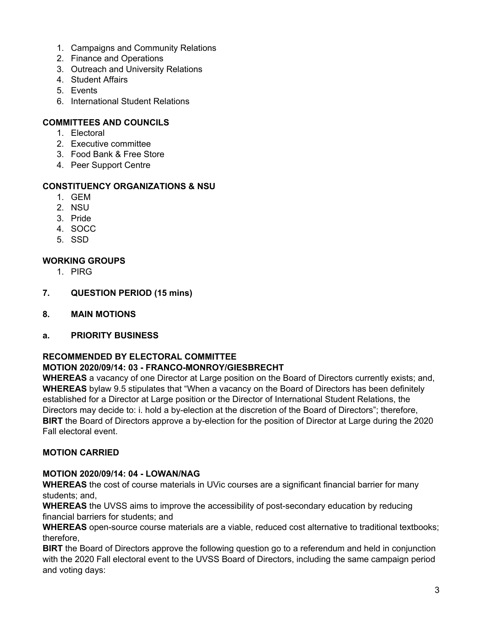- 1. Campaigns and Community Relations
- 2. Finance and Operations
- 3. Outreach and University Relations
- 4. Student Affairs
- 5. Events
- 6. International Student Relations

#### **COMMITTEES AND COUNCILS**

- 1. Electoral
- 2. Executive committee
- 3. Food Bank & Free Store
- 4. Peer Support Centre

#### **CONSTITUENCY ORGANIZATIONS & NSU**

- 1. GEM
- 2. NSU
- 3. Pride
- 4. SOCC
- 5. SSD

#### **WORKING GROUPS**

- 1. PIRG
- **7. QUESTION PERIOD (15 mins)**
- **8. MAIN MOTIONS**
- **a. PRIORITY BUSINESS**

# **RECOMMENDED BY ELECTORAL COMMITTEE**

#### **MOTION 2020/09/14: 03 - FRANCO-MONROY/GIESBRECHT WHEREAS** a vacancy of one Director at Large position on the Board of Directors currently exists; and,

**WHEREAS** bylaw 9.5 stipulates that "When a vacancy on the Board of Directors has been definitely established for a Director at Large position or the Director of International Student Relations, the Directors may decide to: i. hold a by-election at the discretion of the Board of Directors"; therefore, **BIRT** the Board of Directors approve a by-election for the position of Director at Large during the 2020 Fall electoral event.

#### **MOTION CARRIED**

#### **MOTION 2020/09/14: 04 - LOWAN/NAG**

**WHEREAS** the cost of course materials in UVic courses are a significant financial barrier for many students; and,

**WHEREAS** the UVSS aims to improve the accessibility of post-secondary education by reducing financial barriers for students; and

**WHEREAS** open-source course materials are a viable, reduced cost alternative to traditional textbooks; therefore,

**BIRT** the Board of Directors approve the following question go to a referendum and held in conjunction with the 2020 Fall electoral event to the UVSS Board of Directors, including the same campaign period and voting days: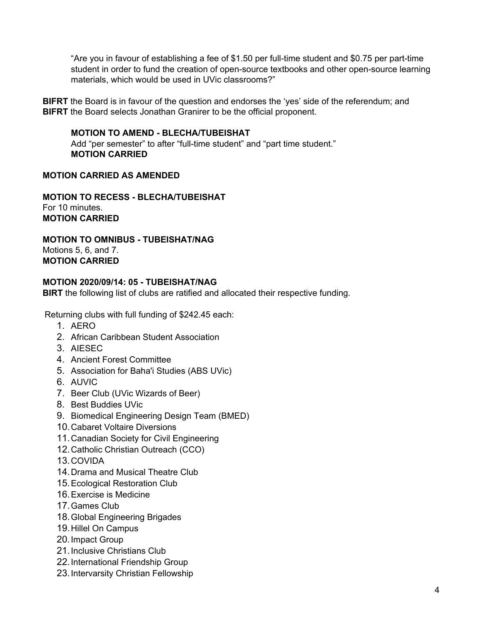"Are you in favour of establishing a fee of \$1.50 per full-time student and \$0.75 per part-time student in order to fund the creation of open-source textbooks and other open-source learning materials, which would be used in UVic classrooms?"

**BIFRT** the Board is in favour of the question and endorses the 'yes' side of the referendum; and **BIFRT** the Board selects Jonathan Granirer to be the official proponent.

#### **MOTION TO AMEND - BLECHA/TUBEISHAT**

Add "per semester" to after "full-time student" and "part time student." **MOTION CARRIED**

#### **MOTION CARRIED AS AMENDED**

**MOTION TO RECESS - BLECHA/TUBEISHAT** For 10 minutes. **MOTION CARRIED**

**MOTION TO OMNIBUS - TUBEISHAT/NAG** Motions 5, 6, and 7. **MOTION CARRIED**

#### **MOTION 2020/09/14: 05 - TUBEISHAT/NAG**

**BIRT** the following list of clubs are ratified and allocated their respective funding.

Returning clubs with full funding of \$242.45 each:

- 1. AERO
- 2. African Caribbean Student Association
- 3. AIESEC
- 4. Ancient Forest Committee
- 5. Association for Baha'i Studies (ABS UVic)
- 6. AUVIC
- 7. Beer Club (UVic Wizards of Beer)
- 8. Best Buddies UVic
- 9. Biomedical Engineering Design Team (BMED)
- 10.Cabaret Voltaire Diversions
- 11.Canadian Society for Civil Engineering
- 12.Catholic Christian Outreach (CCO)
- 13.COVIDA
- 14.Drama and Musical Theatre Club
- 15.Ecological Restoration Club
- 16.Exercise is Medicine
- 17.Games Club
- 18.Global Engineering Brigades
- 19.Hillel On Campus
- 20.Impact Group
- 21.Inclusive Christians Club
- 22.International Friendship Group
- 23.Intervarsity Christian Fellowship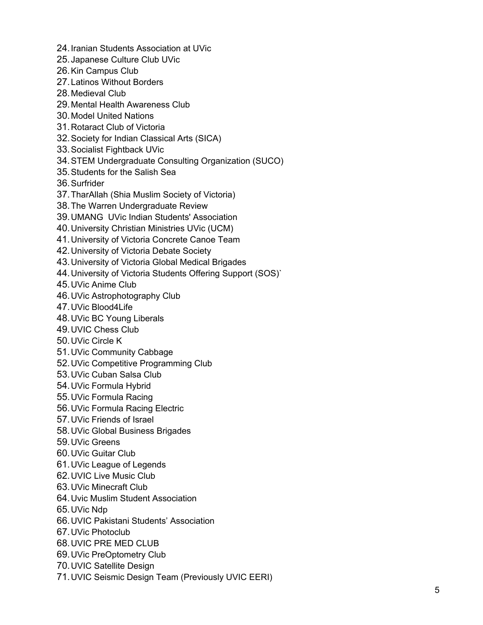- 24. Iranian Students Association at UVic
- 25. Japanese Culture Club UVic
- 26. Kin Campus Club
- 27. Latinos Without Borders
- 28. Medieval Club
- 29. Mental Health Awareness Club
- 30. Model United Nations
- 31. Rotaract Club of Victoria
- 32. Society for Indian Classical Arts (SICA)
- 33. Socialist Fightback UVic
- 34. STEM Undergraduate Consulting Organization (SUCO)
- 35. Students for the Salish Sea
- 36. S u rf rid e r
- 37. TharAllah (Shia Muslim Society of Victoria)
- 38. The Warren Undergraduate Review
- 39. UMANG UVic Indian Students' Association
- 40. University Christian Ministries UVic (UCM)
- 41. University of Victoria Concrete Canoe Team
- 42. University of Victoria Debate Society
- 43. University of Victoria Global Medical Brigades
- 44. University of Victoria Students Offering Support (SOS)`
- 45. UVic Anime Club
- 46. UVic Astrophotography Club
- 47. UVic Blood4Life
- 48. UVic BC Young Liberals
- 49. UVIC Chess Club
- 50. UVic Circle K
- 51. UVic Community Cabbage
- 52. UVic Competitive Programming Club
- 53. UVic Cuban Salsa Club
- 54. UVic Formula Hybrid
- 55. UVic Formula Racing
- 56. UVic Formula Racing Electric
- 57. UVic Friends of Israel
- 58. UVic Global Business Brigades
- 59. UVic Greens
- 60. UVic Guitar Club
- 61. UVic League of Legends
- 62. UVIC Live Music Club
- 63. UVic Minecraft Club
- 64. Uvic Muslim Student Association
- 65. UVic Ndp
- 66. UVIC Pakistani Students' Association
- 67. UVic Photoclub
- 68. UVIC PRE MED CLUB
- 69. UVic PreOptometry Club
- 70. UVIC Satellite Design
- 71. UVIC Seismic Design Team (Previously UVIC EERI)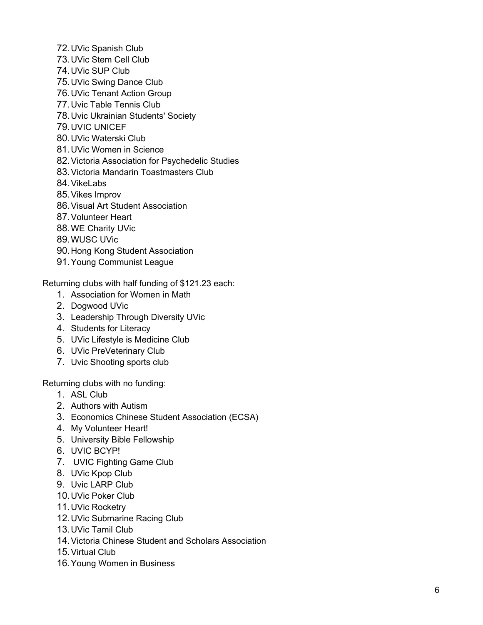- 72. UVic Spanish Club
- 73. UVic Stem Cell Club
- 74. UVic SUP Club
- 75. UVic Swing Dance Club
- 76. UVic Tenant Action Group
- 77. Uvic Table Tennis Club
- 78. Uvic Ukrainian Students' Society
- 79. U VIC U NIC E F
- 80. UVic Waterski Club
- 81. UVic Women in Science
- 82. Victoria Association for Psychedelic Studies
- 83. Victoria Mandarin Toastmasters Club
- 84. VikeLabs
- 85. Vikes Improv
- 86. Visual Art Student Association
- 87. Volunteer Heart
- 88. WE Charity UVic
- 89. W U S C U Vic
- 90. Hong Kong Student Association
- 91. Young Communist League

Returning clubs with half funding of \$121.23 each:

- 1. Association for Women in Math
- 2. Dogwood UVic
- 3. Leadership Through Diversity UVic
- 4. Students for Literacy
- 5. UVic Lifestyle is Medicine Club
- 6. UVic PreVeterinary Club
- 7. Uvic Shooting sports club

Returning clubs with no funding:

- 1. A S L Clu b
- 2. Authors with Autism
- 3. Economics Chinese Student Association (ECSA)
- 4. My Volunteer Heart!
- 5. University Bible Fellowship
- 6. UVIC BCYP!
- 7. UVIC Fighting Game Club
- 8. UVic Kpop Club
- 9. Uvic LARP Club
- 10. UVic Poker Club
- 11. UVic Rocketry
- 12. UVic Submarine Racing Club
- 13. UVic Tamil Club
- 14. Victoria Chinese Student and Scholars Association
- 15. Virtual Club
- 16. Young Women in Business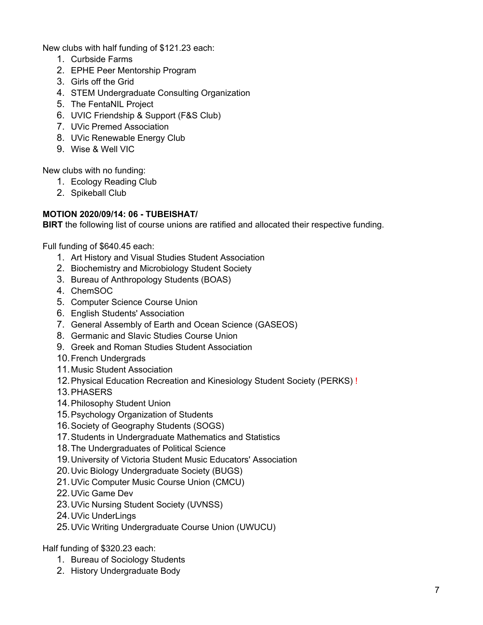New clubs with half funding of \$121.23 each:

- 1. Curbside Farms
- 2. EPHE Peer Mentorship Program
- 3. Girls off the Grid
- 4. STEM Undergraduate Consulting Organization
- 5. The FentaNIL Project
- 6. UVIC Friendship & Support (F&S Club)
- 7. UVic Premed Association
- 8. UVic Renewable Energy Club
- 9. Wise & Well VIC

New clubs with no funding:

- 1. Ecology Reading Club
- 2. Spikeball Club

#### **MOTION 2020/09/14: 06 - TUBEISHAT/**

**BIRT** the following list of course unions are ratified and allocated their respective funding.

Full funding of \$640.45 each:

- 1. Art History and Visual Studies Student Association
- 2. Biochemistry and Microbiology Student Society
- 3. Bureau of Anthropology Students (BOAS)
- 4. ChemSOC
- 5. Computer Science Course Union
- 6. English Students' Association
- 7. General Assembly of Earth and Ocean Science (GASEOS)
- 8. Germanic and Slavic Studies Course Union
- 9. Greek and Roman Studies Student Association
- 10.French Undergrads
- 11.Music Student Association
- 12.Physical Education Recreation and Kinesiology Student Society (PERKS) !
- 13.PHASERS
- 14.Philosophy Student Union
- 15.Psychology Organization of Students
- 16.Society of Geography Students (SOGS)
- 17.Students in Undergraduate Mathematics and Statistics
- 18.The Undergraduates of Political Science
- 19.University of Victoria Student Music Educators' Association
- 20.Uvic Biology Undergraduate Society (BUGS)
- 21.UVic Computer Music Course Union (CMCU)
- 22.UVic Game Dev
- 23.UVic Nursing Student Society (UVNSS)
- 24.UVic UnderLings
- 25.UVic Writing Undergraduate Course Union (UWUCU)

Half funding of \$320.23 each:

- 1. Bureau of Sociology Students
- 2. History Undergraduate Body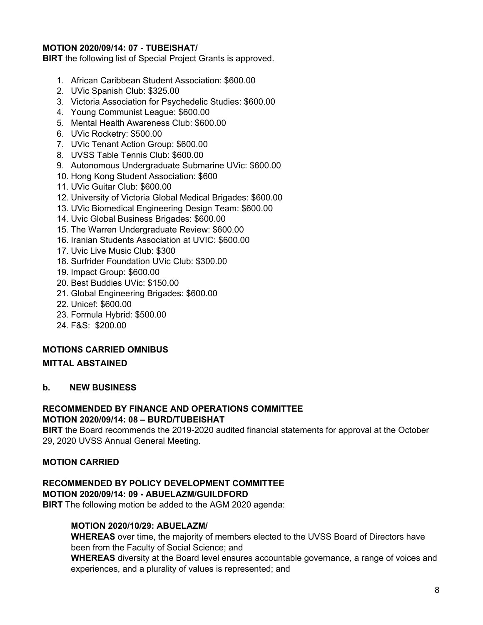#### **MOTION 2020/09/14: 07 - TUBEISHAT/**

**BIRT** the following list of Special Project Grants is approved.

- 1. African Caribbean Student Association: \$600.00
- 2. UVic Spanish Club: \$325.00
- 3. Victoria Association for Psychedelic Studies: \$600.00
- 4. Young Communist League: \$600.00
- 5. Mental Health Awareness Club: \$600.00
- 6. UVic Rocketry: \$500.00
- 7. UVic Tenant Action Group: \$600.00
- 8. UVSS Table Tennis Club: \$600.00
- 9. Autonomous Undergraduate Submarine UVic: \$600.00
- 10. Hong Kong Student Association: \$600
- 11. UVic Guitar Club: \$600.00
- 12. University of Victoria Global Medical Brigades: \$600.00
- 13. UVic Biomedical Engineering Design Team: \$600.00
- 14. Uvic Global Business Brigades: \$600.00
- 15. The Warren Undergraduate Review: \$600.00
- 16. Iranian Students Association at UVIC: \$600.00
- 17. Uvic Live Music Club: \$300
- 18. Surfrider Foundation UVic Club: \$300.00
- 19. Impact Group: \$600.00
- 20. Best Buddies UVic: \$150.00
- 21. Global Engineering Brigades: \$600.00
- 22. Unicef: \$600.00
- 23. Formula Hybrid: \$500.00
- 24. F&S: \$200.00

#### **MOTIONS CARRIED OMNIBUS**

#### **MITTAL ABSTAINED**

#### **b. NEW BUSINESS**

#### **RECOMMENDED BY FINANCE AND OPERATIONS COMMITTEE MOTION 2020/09/14: 08 – BURD/TUBEISHAT**

**BIRT** the Board recommends the 2019-2020 audited financial statements for approval at the October 29, 2020 UVSS Annual General Meeting.

#### **MOTION CARRIED**

# **RECOMMENDED BY POLICY DEVELOPMENT COMMITTEE**

**MOTION 2020/09/14: 09 - ABUELAZM/GUILDFORD**

**BIRT** The following motion be added to the AGM 2020 agenda:

#### **MOTION 2020/10/29: ABUELAZM/**

**WHEREAS** over time, the majority of members elected to the UVSS Board of Directors have been from the Faculty of Social Science; and

**WHEREAS** diversity at the Board level ensures accountable governance, a range of voices and experiences, and a plurality of values is represented; and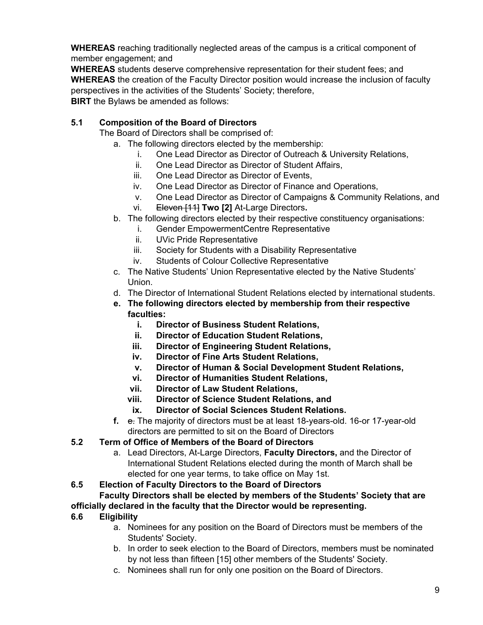**WHEREAS** reaching traditionally neglected areas of the campus is a critical component of member engagement; and

**WHEREAS** students deserve comprehensive representation for their student fees; and **WHEREAS** the creation of the Faculty Director position would increase the inclusion of faculty perspectives in the activities of the Students' Society; therefore, **BIRT** the Bylaws be amended as follows:

#### **5.1 Composition of the Board of Directors**

The Board of Directors shall be comprised of:

- a. The following directors elected by the membership:
	- i. One Lead Director as Director of Outreach & University Relations,
	- ii. One Lead Director as Director of Student Affairs,
	- iii. One Lead Director as Director of Events,
	- iv. One Lead Director as Director of Finance and Operations,
	- v. One Lead Director as Director of Campaigns & Community Relations, and
	- vi. Eleven [11] **Two [2]** At-Large Directors**.**
- b. The following directors elected by their respective constituency organisations:
	- i. Gender EmpowermentCentre Representative
	- ii. UVic Pride Representative
	- iii. Society for Students with a Disability Representative
	- iv. Students of Colour Collective Representative
- c. The Native Students' Union Representative elected by the Native Students' Union.
- d. The Director of International Student Relations elected by international students.
- **e. The following directors elected by membership from their respective faculties:**
	- **i. Director of Business Student Relations,**
	- **ii. Director of Education Student Relations,**
	- **iii. Director of Engineering Student Relations,**
	- **iv. Director of Fine Arts Student Relations,**
	- **v. Director of Human & Social Development Student Relations,**
	- **vi. Director of Humanities Student Relations,**
	- **vii. Director of Law Student Relations,**
	- **viii. Director of Science Student Relations, and**
	- **ix. Director of Social Sciences Student Relations.**
- **f.** e. The majority of directors must be at least 18-years-old. 16-or 17-year-old directors are permitted to sit on the Board of Directors

#### **5.2 Term of Office of Members of the Board of Directors**

a. Lead Directors, At-Large Directors, **Faculty Directors,** and the Director of International Student Relations elected during the month of March shall be elected for one year terms, to take office on May 1st.

#### **6.5 Election of Faculty Directors to the Board of Directors**

# **Faculty Directors shall be elected by members of the Students' Society that are**

#### **officially declared in the faculty that the Director would be representing.**

#### **6.6 Eligibility**

- a. Nominees for any position on the Board of Directors must be members of the Students' Society.
- b. In order to seek election to the Board of Directors, members must be nominated by not less than fifteen [15] other members of the Students' Society.
- c. Nominees shall run for only one position on the Board of Directors.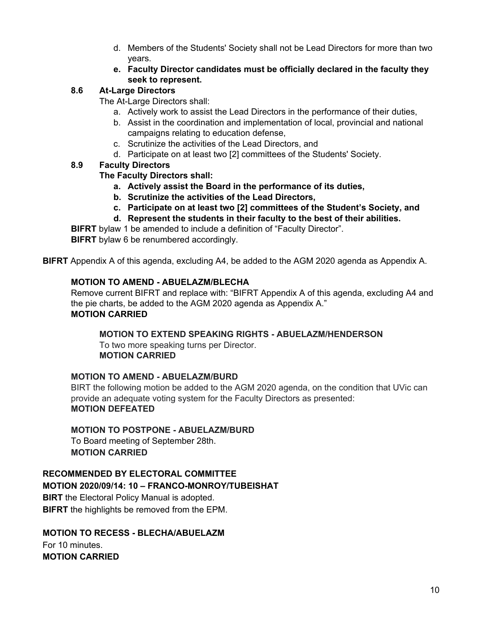- d. Members of the Students' Society shall not be Lead Directors for more than two years.
- **e. Faculty Director candidates must be officially declared in the faculty they seek to represent.**

#### **8.6 At-Large Directors**

The At-Large Directors shall:

- a. Actively work to assist the Lead Directors in the performance of their duties,
- b. Assist in the coordination and implementation of local, provincial and national campaigns relating to education defense,
- c. Scrutinize the activities of the Lead Directors, and
- d. Participate on at least two [2] committees of the Students' Society.

#### **8.9 Faculty Directors**

#### **The Faculty Directors shall:**

- **a. Actively assist the Board in the performance of its duties,**
- **b. Scrutinize the activities of the Lead Directors,**
- **c. Participate on at least two [2] committees of the Student's Society, and**
- **d. Represent the students in their faculty to the best of their abilities.**

**BIFRT** bylaw 1 be amended to include a definition of "Faculty Director".

**BIFRT** bylaw 6 be renumbered accordingly.

**BIFRT** Appendix A of this agenda, excluding A4, be added to the AGM 2020 agenda as Appendix A.

#### **MOTION TO AMEND - ABUELAZM/BLECHA**

Remove current BIFRT and replace with: "BIFRT Appendix A of this agenda, excluding A4 and the pie charts, be added to the AGM 2020 agenda as Appendix A." **MOTION CARRIED**

**MOTION TO EXTEND SPEAKING RIGHTS - ABUELAZM/HENDERSON** To two more speaking turns per Director. **MOTION CARRIED**

#### **MOTION TO AMEND - ABUELAZM/BURD**

BIRT the following motion be added to the AGM 2020 agenda, on the condition that UVic can provide an adequate voting system for the Faculty Directors as presented: **MOTION DEFEATED**

#### **MOTION TO POSTPONE - ABUELAZM/BURD**

To Board meeting of September 28th. **MOTION CARRIED**

#### **RECOMMENDED BY ELECTORAL COMMITTEE**

#### **MOTION 2020/09/14: 10 – FRANCO-MONROY/TUBEISHAT**

**BIRT** the Electoral Policy Manual is adopted. **BIFRT** the highlights be removed from the EPM.

#### **MOTION TO RECESS - BLECHA/ABUELAZM**

For 10 minutes. **MOTION CARRIED**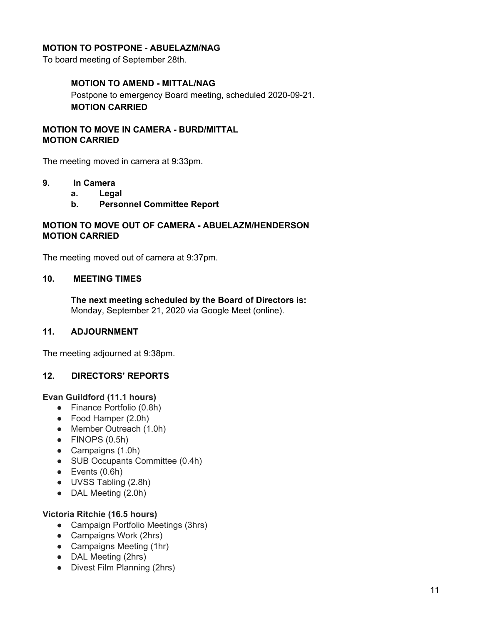#### **MOTION TO POSTPONE - ABUELAZM/NAG**

To board meeting of September 28th.

#### **MOTION TO AMEND - MITTAL/NAG**

Postpone to emergency Board meeting, scheduled 2020-09-21. **MOTION CARRIED**

#### **MOTION TO MOVE IN CAMERA - BURD/MITTAL MOTION CARRIED**

The meeting moved in camera at 9:33pm.

#### **9. In Camera**

- **a. Legal**
- **b. Personnel Committee Report**

#### **MOTION TO MOVE OUT OF CAMERA - ABUELAZM/HENDERSON MOTION CARRIED**

The meeting moved out of camera at 9:37pm.

#### **10. MEETING TIMES**

**The next meeting scheduled by the Board of Directors is:** Monday, September 21, 2020 via Google Meet (online).

#### **11. ADJOURNMENT**

The meeting adjourned at 9:38pm.

#### **12. DIRECTORS' REPORTS**

#### **Evan Guildford (11.1 hours)**

- Finance Portfolio (0.8h)
- Food Hamper (2.0h)
- Member Outreach (1.0h)
- $\bullet$  FINOPS (0.5h)
- Campaigns (1.0h)
- SUB Occupants Committee (0.4h)
- $\bullet$  Events  $(0.6h)$
- UVSS Tabling (2.8h)
- DAL Meeting (2.0h)

#### **Victoria Ritchie (16.5 hours)**

- Campaign Portfolio Meetings (3hrs)
- Campaigns Work (2hrs)
- Campaigns Meeting (1hr)
- DAL Meeting (2hrs)
- Divest Film Planning (2hrs)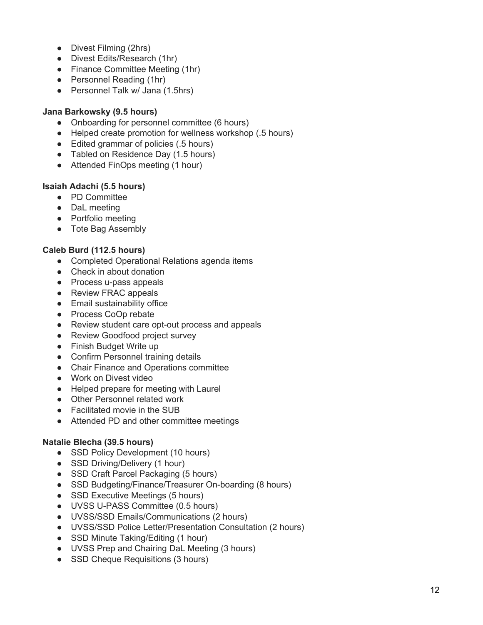- Divest Filming (2hrs)
- Divest Edits/Research (1hr)
- Finance Committee Meeting (1hr)
- Personnel Reading (1hr)
- Personnel Talk w/ Jana (1.5hrs)

#### Jana Barkowsky (9.5 hours)

- Onboarding for personnel committee (6 hours)
- Helped create promotion for wellness workshop (.5 hours)
- Edited grammar of policies (.5 hours)
- Tabled on Residence Day (1.5 hours)
- Attended FinOps meeting (1 hour)

#### **lsaiah Adachi (5.5 hours)**

- PD Committee
- DaL meeting
- Portfolio meeting
- Tote Bag Assembly

#### **Caleb Burd (112.5 hours)**

- Completed Operational Relations agenda items
- Check in about donation
- Process u-pass appeals
- Review FRAC appeals
- Email sustainability office
- Process CoOp rebate
- Review student care opt-out process and appeals
- Review Goodfood project survey
- Finish Budget Write up
- Confirm Personnel training details
- Chair Finance and Operations committee
- Work on Divest video
- Helped prepare for meeting with Laurel
- Other Personnel related work
- Facilitated movie in the SUB
- Attended PD and other committee meetings

#### Natalie Blecha (39.5 hours)

- SSD Policy Development (10 hours)
- SSD Driving/Delivery (1 hour)
- SSD Craft Parcel Packaging (5 hours)
- SSD Budgeting/Finance/Treasurer On-boarding (8 hours)
- SSD Executive Meetings (5 hours)
- UVSS U-PASS Committee (0.5 hours)
- UVSS/SSD Emails/Communications (2 hours)
- UVSS/SSD Police Letter/Presentation Consultation (2 hours)
- SSD Minute Taking/Editing (1 hour)
- UVSS Prep and Chairing DaL Meeting (3 hours)
- SSD Cheque Requisitions (3 hours)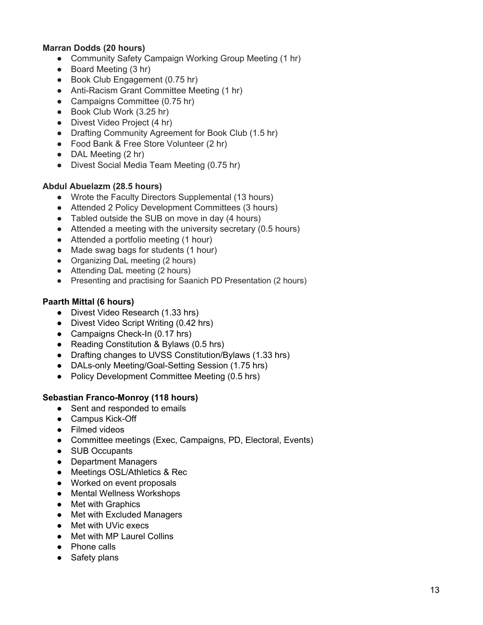#### **Marran Dodds (20 hours)**

- Community Safety Campaign Working Group Meeting (1 hr)
- Board Meeting (3 hr)
- Book Club Engagement (0.75 hr)
- Anti-Racism Grant Committee Meeting (1 hr)
- Campaigns Committee (0.75 hr)
- Book Club Work (3.25 hr)
- Divest Video Project (4 hr)
- Drafting Community Agreement for Book Club (1.5 hr)
- Food Bank & Free Store Volunteer (2 hr)
- DAL Meeting (2 hr)
- Divest Social Media Team Meeting (0.75 hr)

#### **Abdul Abuelazm (28.5 hours)**

- Wrote the Faculty Directors Supplemental (13 hours)
- Attended 2 Policy Development Committees (3 hours)
- Tabled outside the SUB on move in day (4 hours)
- Attended a meeting with the university secretary (0.5 hours)
- Attended a portfolio meeting (1 hour)
- Made swag bags for students (1 hour)
- Organizing DaL meeting (2 hours)
- Attending DaL meeting (2 hours)
- Presenting and practising for Saanich PD Presentation (2 hours)

#### **Paarth Mittal (6 hours)**

- Divest Video Research (1.33 hrs)
- Divest Video Script Writing (0.42 hrs)
- Campaigns Check-In (0.17 hrs)
- Reading Constitution & Bylaws (0.5 hrs)
- Drafting changes to UVSS Constitution/Bylaws (1.33 hrs)
- DALs-only Meeting/Goal-Setting Session (1.75 hrs)
- Policy Development Committee Meeting (0.5 hrs)

#### **Sebastian Franco-Monroy (118 hours)**

- Sent and responded to emails
- Campus Kick-Off
- Filmed videos
- Committee meetings (Exec, Campaigns, PD, Electoral, Events)
- SUB Occupants
- Department Managers
- Meetings OSL/Athletics & Rec
- Worked on event proposals
- Mental Wellness Workshops
- Met with Graphics
- Met with Excluded Managers
- Met with UVic execs
- Met with MP Laurel Collins
- Phone calls
- Safety plans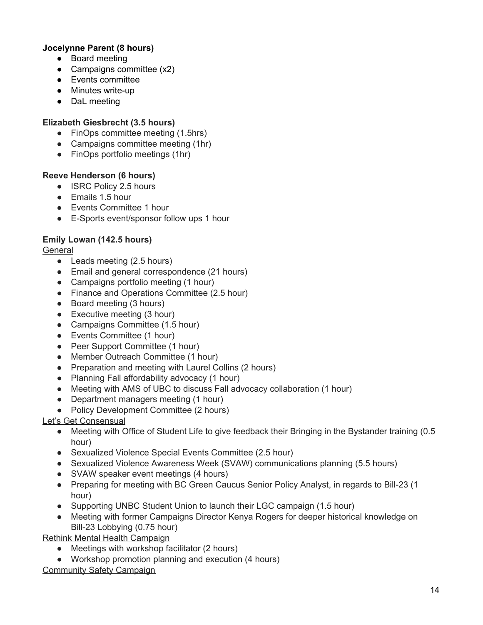#### **Jocelynne Parent (8 hours)**

- Board meeting
- $\bullet$  Campaigns committee  $(x2)$
- Events committee
- Minutes write-up
- DaL meeting

#### **Elizabeth Giesbrecht (3.5 hours)**

- FinOps committee meeting (1.5hrs)
- Campaigns committee meeting (1hr)
- FinOps portfolio meetings (1hr)

#### **Reeve Henderson (6 hours)**

- ISRC Policy 2.5 hours
- Emails 1.5 hour
- Events Committee 1 hour
- E-Sports event/sponsor follow ups 1 hour

#### **Emily Lowan (142.5 hours)**

#### **General**

- Leads meeting (2.5 hours)
- Email and general correspondence (21 hours)
- Campaigns portfolio meeting (1 hour)
- Finance and Operations Committee (2.5 hour)
- Board meeting (3 hours)
- Executive meeting (3 hour)
- Campaigns Committee (1.5 hour)
- Events Committee (1 hour)
- Peer Support Committee (1 hour)
- Member Outreach Committee (1 hour)
- Preparation and meeting with Laurel Collins (2 hours)
- Planning Fall affordability advocacy (1 hour)
- Meeting with AMS of UBC to discuss Fall advocacy collaboration (1 hour)
- Department managers meeting (1 hour)
- Policy Development Committee (2 hours)

#### Let's Get Consensual

- Meeting with Office of Student Life to give feedback their Bringing in the Bystander training (0.5 hour)
- Sexualized Violence Special Events Committee (2.5 hour)
- Sexualized Violence Awareness Week (SVAW) communications planning (5.5 hours)
- SVAW speaker event meetings (4 hours)
- Preparing for meeting with BC Green Caucus Senior Policy Analyst, in regards to Bill-23 (1 hour)
- Supporting UNBC Student Union to launch their LGC campaign (1.5 hour)
- Meeting with former Campaigns Director Kenya Rogers for deeper historical knowledge on Bill-23 Lobbying (0.75 hour)

Rethink Mental Health Campaign

- Meetings with workshop facilitator (2 hours)
- Workshop promotion planning and execution (4 hours)

#### Community Safety Campaign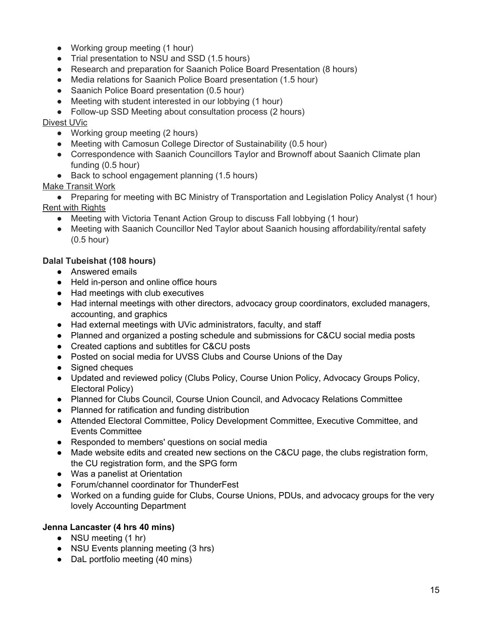- Working group meeting (1 hour)
- Trial presentation to NSU and SSD (1.5 hours)
- Research and preparation for Saanich Police Board Presentation (8 hours)
- Media relations for Saanich Police Board presentation (1.5 hour)
- Saanich Police Board presentation (0.5 hour)
- Meeting with student interested in our lobbying (1 hour)
- Follow-up SSD Meeting about consultation process (2 hours)

#### Divest UVic

- Working group meeting (2 hours)
- Meeting with Camosun College Director of Sustainability (0.5 hour)
- Correspondence with Saanich Councillors Taylor and Brownoff about Saanich Climate plan funding (0.5 hour)
- Back to school engagement planning (1.5 hours)

#### Make Transit Work

• Preparing for meeting with BC Ministry of Transportation and Legislation Policy Analyst (1 hour) Rent with Rights

- Meeting with Victoria Tenant Action Group to discuss Fall lobbying (1 hour)
- Meeting with Saanich Councillor Ned Taylor about Saanich housing affordability/rental safety (0.5 hour)

#### **Dalal Tubeishat (108 hours)**

- Answered emails
- Held in-person and online office hours
- Had meetings with club executives
- Had internal meetings with other directors, advocacy group coordinators, excluded managers, accounting, and graphics
- Had external meetings with UVic administrators, faculty, and staff
- Planned and organized a posting schedule and submissions for C&CU social media posts
- Created captions and subtitles for C&CU posts
- Posted on social media for UVSS Clubs and Course Unions of the Day
- Signed cheques
- Updated and reviewed policy (Clubs Policy, Course Union Policy, Advocacy Groups Policy, Electoral Policy)
- Planned for Clubs Council, Course Union Council, and Advocacy Relations Committee
- Planned for ratification and funding distribution
- Attended Electoral Committee, Policy Development Committee, Executive Committee, and Events Committee
- Responded to members' questions on social media
- Made website edits and created new sections on the C&CU page, the clubs registration form, the CU registration form, and the SPG form
- Was a panelist at Orientation
- Forum/channel coordinator for ThunderFest
- Worked on a funding guide for Clubs, Course Unions, PDUs, and advocacy groups for the very lovely Accounting Department

#### **Jenna Lancaster (4 hrs 40 mins)**

- NSU meeting (1 hr)
- NSU Events planning meeting (3 hrs)
- DaL portfolio meeting (40 mins)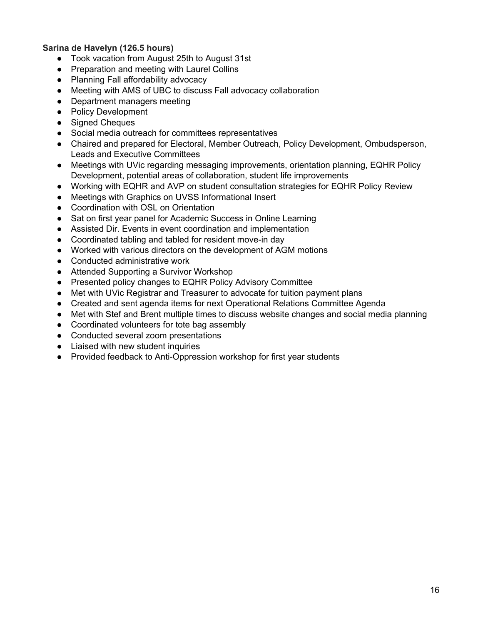**Sarina de Havelyn (126.5 hours)**

- Took vacation from August 25th to August 31st
- Preparation and meeting with Laurel Collins
- Planning Fall affordability advocacy
- Meeting with AMS of UBC to discuss Fall advocacy collaboration
- Department managers meeting
- Policy Development
- Signed Cheques
- Social media outreach for committees representatives
- Chaired and prepared for Electoral, Member Outreach, Policy Development, Ombudsperson, Leads and Executive Committees
- Meetings with UVic regarding messaging improvements, orientation planning, EQHR Policy Development, potential areas of collaboration, student life improvements
- Working with EQHR and AVP on student consultation strategies for EQHR Policy Review
- Meetings with Graphics on UVSS Informational Insert
- Coordination with OSL on Orientation
- Sat on first year panel for Academic Success in Online Learning
- Assisted Dir. Events in event coordination and implementation
- Coordinated tabling and tabled for resident move-in day
- Worked with various directors on the development of AGM motions
- Conducted administrative work
- Attended Supporting a Survivor Workshop
- Presented policy changes to EQHR Policy Advisory Committee
- Met with UVic Registrar and Treasurer to advocate for tuition payment plans
- Created and sent agenda items for next Operational Relations Committee Agenda
- Met with Stef and Brent multiple times to discuss website changes and social media planning
- Coordinated volunteers for tote bag assembly
- Conducted several zoom presentations
- Liaised with new student inquiries
- Provided feedback to Anti-Oppression workshop for first year students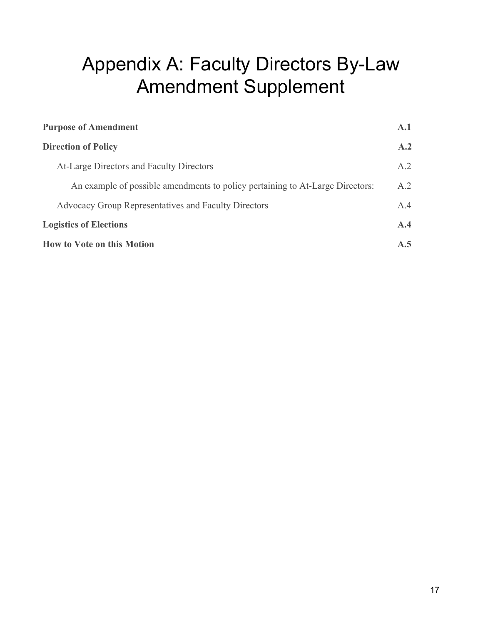# Appendix A: Faculty Directors By-Law Amendment Supplement

| <b>Purpose of Amendment</b>                                                   | $\mathbf{A.1}$ |
|-------------------------------------------------------------------------------|----------------|
| <b>Direction of Policy</b>                                                    | A.2            |
| At-Large Directors and Faculty Directors                                      | A.2            |
| An example of possible amendments to policy pertaining to At-Large Directors: | A.2            |
| <b>Advocacy Group Representatives and Faculty Directors</b>                   | A.4            |
| <b>Logistics of Elections</b>                                                 | A.4            |
| <b>How to Vote on this Motion</b>                                             | A.5            |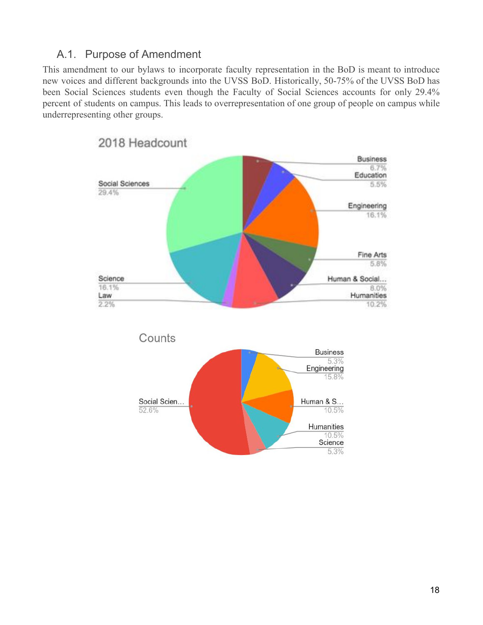# <span id="page-17-0"></span>A.1. Purpose of Amendment

This amendment to our bylaws to incorporate faculty representation in the BoD is meant to introduce new voices and different backgrounds into the UVSS BoD. Historically, 50-75% of the UVSS BoD has been Social Sciences students even though the Faculty of Social Sciences accounts for only 29.4% percent of students on campus. This leads to overrepresentation of one group of people on campus while underrepresenting other groups.

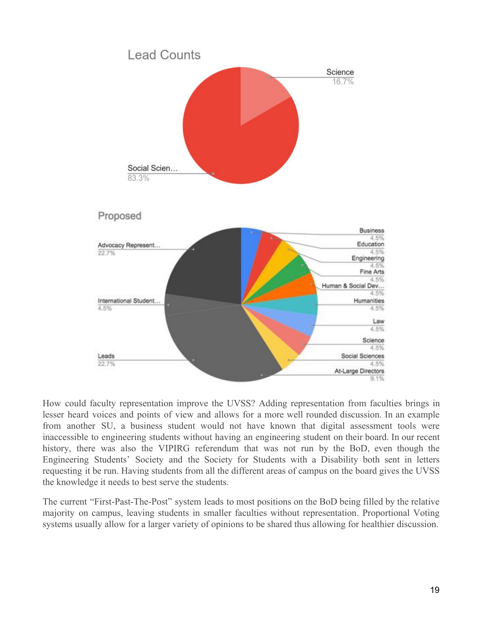

How could faculty representation improve the UVSS? Adding representation from faculties brings in lesser heard voices and points of view and allows for a more well rounded discussion. In an example from another SU, a business student would not have known that digital assessment tools were inaccessible to engineering students without having an engineering student on their board. In our recent history, there was also the VIPIRG referendum that was not run by the BoD, even though the Engineering Students' Society and the Society for Students with a Disability both sent in letters requesting it be run. Having students from all the different areas of campus on the board gives the UVSS the knowledge it needs to best serve the students.

The current "First-Past-The-Post" system leads to most positions on the BoD being filled by the relative majority on campus, leaving students in smaller faculties without representation. Proportional Voting systems usually allow for a larger variety of opinions to be shared thus allowing for healthier discussion.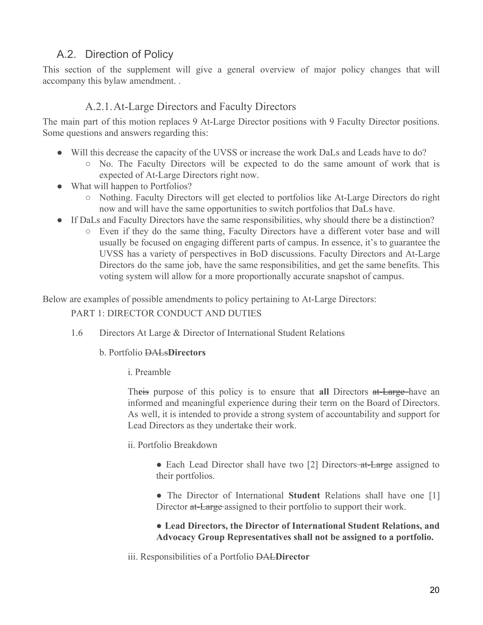## <span id="page-19-0"></span>A.2. Direction of Policy

This section of the supplement will give a general overview of major policy changes that will accompany this bylaw amendment. .

### A.2.1.At-Large Directors and Faculty Directors

<span id="page-19-1"></span>The main part of this motion replaces 9 At-Large Director positions with 9 Faculty Director positions. Some questions and answers regarding this:

- Will this decrease the capacity of the UVSS or increase the work DaLs and Leads have to do?
	- No. The Faculty Directors will be expected to do the same amount of work that is expected of At-Large Directors right now.
- What will happen to Portfolios?
	- Nothing. Faculty Directors will get elected to portfolios like At-Large Directors do right now and will have the same opportunities to switch portfolios that DaLs have.
- If DaLs and Faculty Directors have the same responsibilities, why should there be a distinction?
	- Even if they do the same thing, Faculty Directors have a different voter base and will usually be focused on engaging different parts of campus. In essence, it's to guarantee the UVSS has a variety of perspectives in BoD discussions. Faculty Directors and At-Large Directors do the same job, have the same responsibilities, and get the same benefits. This voting system will allow for a more proportionally accurate snapshot of campus.

<span id="page-19-2"></span>Below are examples of possible amendments to policy pertaining to At-Large Directors:

#### PART 1: DIRECTOR CONDUCT AND DUTIES

1.6 Directors At Large & Director of International Student Relations

#### b. Portfolio DALs**Directors**

i. Preamble

Theis purpose of this policy is to ensure that **all** Directors at-Large-have an informed and meaningful experience during their term on the Board of Directors. As well, it is intended to provide a strong system of accountability and support for Lead Directors as they undertake their work.

- ii. Portfolio Breakdown
	- Each Lead Director shall have two [2] Directors-at-Large assigned to their portfolios.
	- The Director of International **Student** Relations shall have one [1] Director at-Large assigned to their portfolio to support their work.

#### **● Lead Directors, the Director of International Student Relations, and Advocacy Group Representatives shall not be assigned to a portfolio.**

iii. Responsibilities of a Portfolio DAL**Director**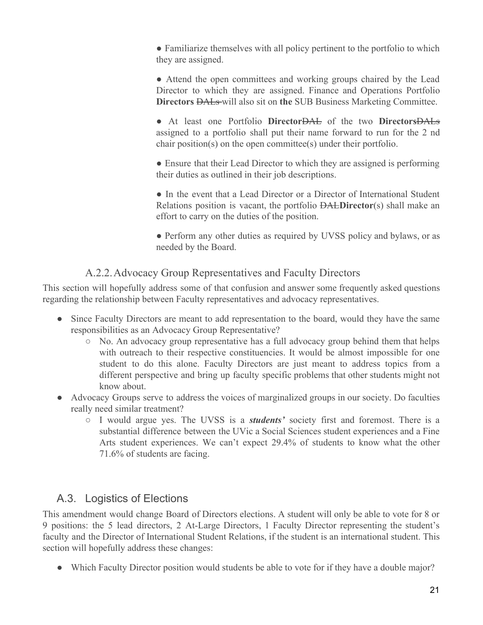• Familiarize themselves with all policy pertinent to the portfolio to which they are assigned.

• Attend the open committees and working groups chaired by the Lead Director to which they are assigned. Finance and Operations Portfolio **Directors** DALs will also sit on **the** SUB Business Marketing Committee.

● At least one Portfolio **Director**DAL of the two **Directors**DALs assigned to a portfolio shall put their name forward to run for the 2 nd chair position(s) on the open committee(s) under their portfolio.

• Ensure that their Lead Director to which they are assigned is performing their duties as outlined in their job descriptions.

• In the event that a Lead Director or a Director of International Student Relations position is vacant, the portfolio DAL**Director**(s) shall make an effort to carry on the duties of the position.

• Perform any other duties as required by UVSS policy and bylaws, or as needed by the Board.

## A.2.2.Advocacy Group Representatives and Faculty Directors

<span id="page-20-0"></span>This section will hopefully address some of that confusion and answer some frequently asked questions regarding the relationship between Faculty representatives and advocacy representatives.

- Since Faculty Directors are meant to add representation to the board, would they have the same responsibilities as an Advocacy Group Representative?
	- No. An advocacy group representative has a full advocacy group behind them that helps with outreach to their respective constituencies. It would be almost impossible for one student to do this alone. Faculty Directors are just meant to address topics from a different perspective and bring up faculty specific problems that other students might not know about.
- Advocacy Groups serve to address the voices of marginalized groups in our society. Do faculties really need similar treatment?
	- I would argue yes. The UVSS is a *students'* society first and foremost. There is a substantial difference between the UVic a Social Sciences student experiences and a Fine Arts student experiences. We can't expect 29.4% of students to know what the other 71.6% of students are facing.

# <span id="page-20-1"></span>A.3. Logistics of Elections

This amendment would change Board of Directors elections. A student will only be able to vote for 8 or 9 positions: the 5 lead directors, 2 At-Large Directors, 1 Faculty Director representing the student's faculty and the Director of International Student Relations, if the student is an international student. This section will hopefully address these changes:

• Which Faculty Director position would students be able to vote for if they have a double major?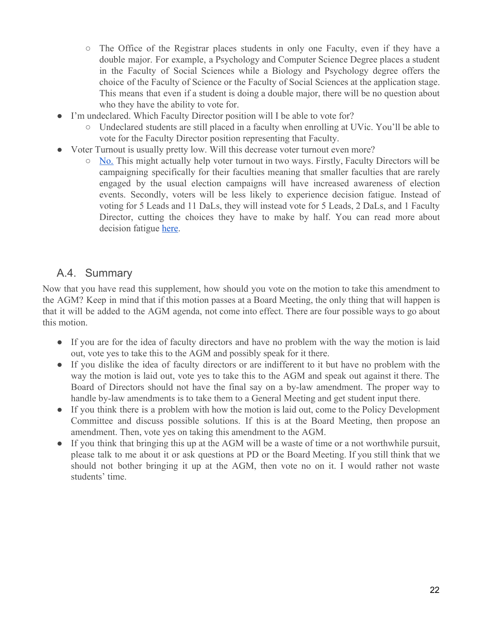- The Office of the Registrar places students in only one Faculty, even if they have a double major. For example, a Psychology and Computer Science Degree places a student in the Faculty of Social Sciences while a Biology and Psychology degree offers the choice of the Faculty of Science or the Faculty of Social Sciences at the application stage. This means that even if a student is doing a double major, there will be no question about who they have the ability to vote for.
- I'm undeclared. Which Faculty Director position will I be able to vote for?
	- Undeclared students are still placed in a faculty when enrolling at UVic. You'll be able to vote for the Faculty Director position representing that Faculty.
- Voter Turnout is usually pretty low. Will this decrease voter turnout even more?
	- [No.](https://prorepfactcheck.ca/voterturnout/) This might actually help voter turnout in two ways. Firstly, Faculty Directors will be campaigning specifically for their faculties meaning that smaller faculties that are rarely engaged by the usual election campaigns will have increased awareness of election events. Secondly, voters will be less likely to experience decision fatigue. Instead of voting for 5 Leads and 11 DaLs, they will instead vote for 5 Leads, 2 DaLs, and 1 Faculty Director, cutting the choices they have to make by half. You can read more about decision fatigue [here.](https://en.wikipedia.org/wiki/Decision_fatigue#Decision_avoidance)

## <span id="page-21-0"></span>A.4. Summary

Now that you have read this supplement, how should you vote on the motion to take this amendment to the AGM? Keep in mind that if this motion passes at a Board Meeting, the only thing that will happen is that it will be added to the AGM agenda, not come into effect. There are four possible ways to go about this motion.

- If you are for the idea of faculty directors and have no problem with the way the motion is laid out, vote yes to take this to the AGM and possibly speak for it there.
- If you dislike the idea of faculty directors or are indifferent to it but have no problem with the way the motion is laid out, vote yes to take this to the AGM and speak out against it there. The Board of Directors should not have the final say on a by-law amendment. The proper way to handle by-law amendments is to take them to a General Meeting and get student input there.
- If you think there is a problem with how the motion is laid out, come to the Policy Development Committee and discuss possible solutions. If this is at the Board Meeting, then propose an amendment. Then, vote yes on taking this amendment to the AGM.
- If you think that bringing this up at the AGM will be a waste of time or a not worthwhile pursuit, please talk to me about it or ask questions at PD or the Board Meeting. If you still think that we should not bother bringing it up at the AGM, then vote no on it. I would rather not waste students' time.